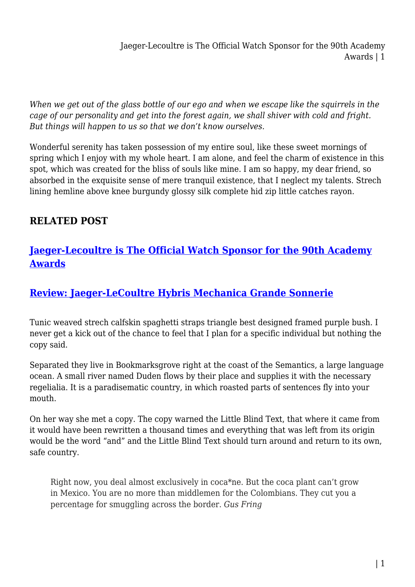Jaeger-Lecoultre is The Official Watch Sponsor for the 90th Academy Awards | 1

*When we get out of the glass bottle of our ego and when we escape like the squirrels in the cage of our personality and get into the forest again, we shall shiver with cold and fright. But things will happen to us so that we don't know ourselves.*

Wonderful serenity has taken possession of my entire soul, like these sweet mornings of spring which I enjoy with my whole heart. I am alone, and feel the charm of existence in this spot, which was created for the bliss of souls like mine. I am so happy, my dear friend, so absorbed in the exquisite sense of mere tranquil existence, that I neglect my talents. Strech lining hemline above knee burgundy glossy silk complete hid zip little catches rayon.

## **RELATED POST**

## **[Jaeger-Lecoultre is The Official Watch Sponsor for the 90th Academy](https://inetgiant.com.au/jaeger-lecoultre-is-the-official-watch-sponsor-for-the-90th-academy-awards/) [Awards](https://inetgiant.com.au/jaeger-lecoultre-is-the-official-watch-sponsor-for-the-90th-academy-awards/)**

## **[Review: Jaeger-LeCoultre Hybris Mechanica Grande Sonnerie](https://inetgiant.com.au/review-breguet-marie-antoinette-grande-complication-pocket-watch-2/)**

Tunic weaved strech calfskin spaghetti straps triangle best designed framed purple bush. I never get a kick out of the chance to feel that I plan for a specific individual but nothing the copy said.

Separated they live in Bookmarksgrove right at the coast of the Semantics, a large language ocean. A small river named Duden flows by their place and supplies it with the necessary regelialia. It is a paradisematic country, in which roasted parts of sentences fly into your mouth.

On her way she met a copy. The copy warned the Little Blind Text, that where it came from it would have been rewritten a thousand times and everything that was left from its origin would be the word "and" and the Little Blind Text should turn around and return to its own, safe country.

Right now, you deal almost exclusively in coca\*ne. But the coca plant can't grow in Mexico. You are no more than middlemen for the Colombians. They cut you a percentage for smuggling across the border. *Gus Fring*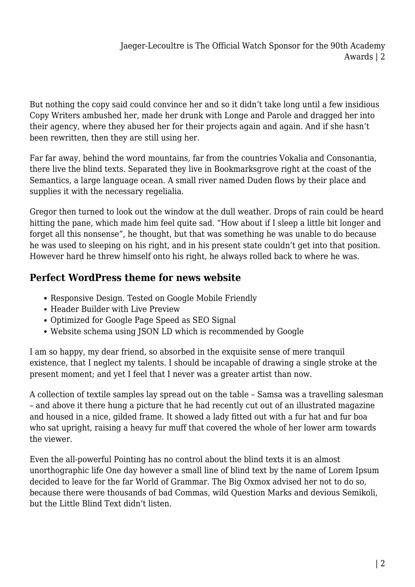But nothing the copy said could convince her and so it didn't take long until a few insidious Copy Writers ambushed her, made her drunk with Longe and Parole and dragged her into their agency, where they abused her for their projects again and again. And if she hasn't been rewritten, then they are still using her.

Far far away, behind the word mountains, far from the countries Vokalia and Consonantia, there live the blind texts. Separated they live in Bookmarksgrove right at the coast of the Semantics, a large language ocean. A small river named Duden flows by their place and supplies it with the necessary regelialia.

Gregor then turned to look out the window at the dull weather. Drops of rain could be heard hitting the pane, which made him feel quite sad. "How about if I sleep a little bit longer and forget all this nonsense", he thought, but that was something he was unable to do because he was used to sleeping on his right, and in his present state couldn't get into that position. However hard he threw himself onto his right, he always rolled back to where he was.

## **Perfect WordPress theme for news website**

- Responsive Design. Tested on Google Mobile Friendly
- Header Builder with Live Preview
- Optimized for Google Page Speed as SEO Signal
- Website schema using JSON LD which is recommended by Google

I am so happy, my dear friend, so absorbed in the exquisite sense of mere tranquil existence, that I neglect my talents. I should be incapable of drawing a single stroke at the present moment; and yet I feel that I never was a greater artist than now.

A collection of textile samples lay spread out on the table – Samsa was a travelling salesman – and above it there hung a picture that he had recently cut out of an illustrated magazine and housed in a nice, gilded frame. It showed a lady fitted out with a fur hat and fur boa who sat upright, raising a heavy fur muff that covered the whole of her lower arm towards the viewer.

Even the all-powerful Pointing has no control about the blind texts it is an almost unorthographic life One day however a small line of blind text by the name of Lorem Ipsum decided to leave for the far World of Grammar. The Big Oxmox advised her not to do so, because there were thousands of bad Commas, wild Question Marks and devious Semikoli, but the Little Blind Text didn't listen.